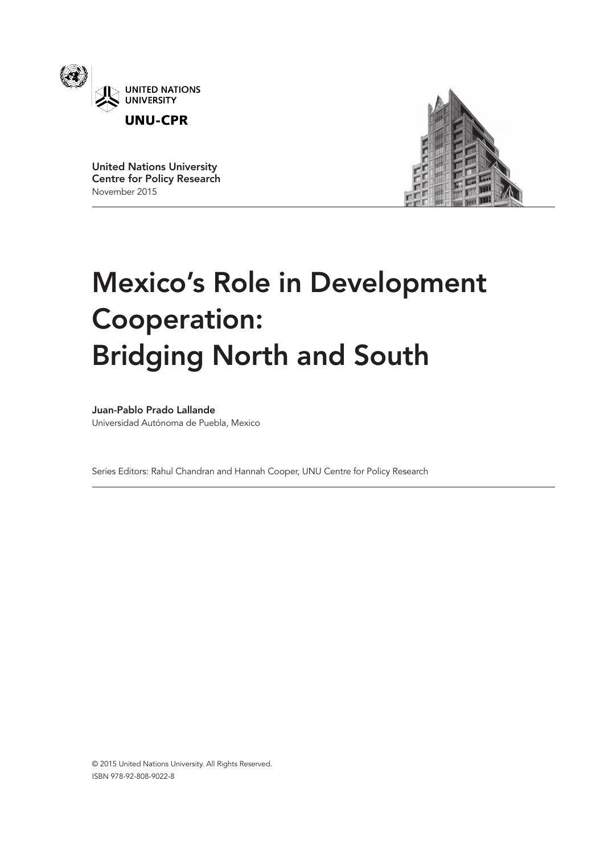

United Nations University Centre for Policy Research November 2015



# Mexico's Role in Development Cooperation: Bridging North and South

Juan-Pablo Prado Lallande

Universidad Autónoma de Puebla, Mexico

Series Editors: Rahul Chandran and Hannah Cooper, UNU Centre for Policy Research

© 2015 United Nations University. All Rights Reserved. ISBN 978-92-808-9022-8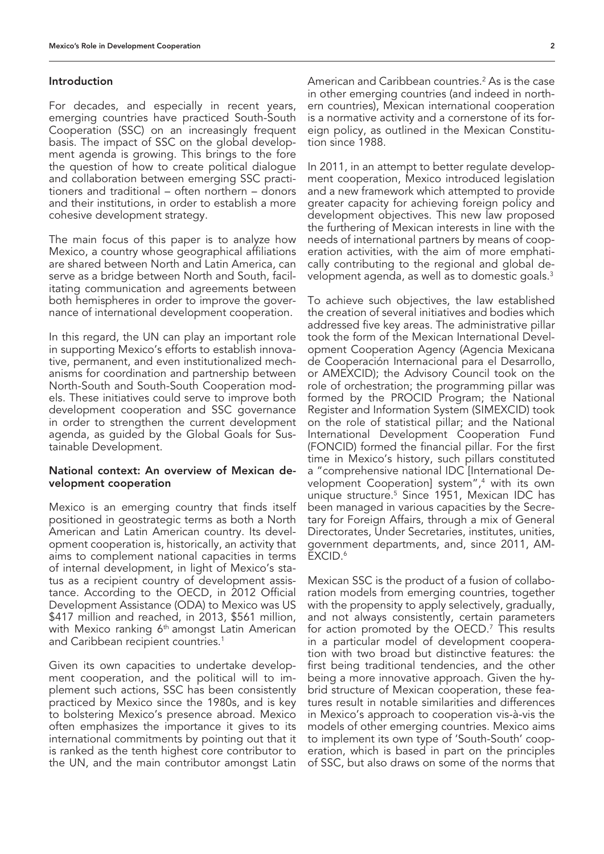#### Introduction

For decades, and especially in recent years, emerging countries have practiced South-South Cooperation (SSC) on an increasingly frequent basis. The impact of SSC on the global development agenda is growing. This brings to the fore the question of how to create political dialogue and collaboration between emerging SSC practitioners and traditional – often northern – donors and their institutions, in order to establish a more cohesive development strategy.

The main focus of this paper is to analyze how Mexico, a country whose geographical affiliations are shared between North and Latin America, can serve as a bridge between North and South, facilitating communication and agreements between both hemispheres in order to improve the governance of international development cooperation.

In this regard, the UN can play an important role in supporting Mexico's efforts to establish innovative, permanent, and even institutionalized mechanisms for coordination and partnership between North-South and South-South Cooperation models. These initiatives could serve to improve both development cooperation and SSC governance in order to strengthen the current development agenda, as guided by the Global Goals for Sustainable Development.

# National context: An overview of Mexican development cooperation

Mexico is an emerging country that finds itself positioned in geostrategic terms as both a North American and Latin American country. Its development cooperation is, historically, an activity that aims to complement national capacities in terms of internal development, in light of Mexico's status as a recipient country of development assistance. According to the OECD, in 2012 Official Development Assistance (ODA) to Mexico was US \$417 million and reached, in 2013, \$561 million, with Mexico ranking 6<sup>th</sup> amongst Latin American and Caribbean recipient countries.<sup>1</sup>

Given its own capacities to undertake development cooperation, and the political will to implement such actions, SSC has been consistently practiced by Mexico since the 1980s, and is key to bolstering Mexico's presence abroad. Mexico often emphasizes the importance it gives to its international commitments by pointing out that it is ranked as the tenth highest core contributor to the UN, and the main contributor amongst Latin

American and Caribbean countries.<sup>2</sup> As is the case in other emerging countries (and indeed in northern countries), Mexican international cooperation is a normative activity and a cornerstone of its foreign policy, as outlined in the Mexican Constitution since 1988.

In 2011, in an attempt to better regulate development cooperation, Mexico introduced legislation and a new framework which attempted to provide greater capacity for achieving foreign policy and development objectives. This new law proposed the furthering of Mexican interests in line with the needs of international partners by means of cooperation activities, with the aim of more emphatically contributing to the regional and global development agenda, as well as to domestic goals.3

To achieve such objectives, the law established the creation of several initiatives and bodies which addressed five key areas. The administrative pillar took the form of the Mexican International Development Cooperation Agency (Agencia Mexicana de Cooperación Internacional para el Desarrollo, or AMEXCID); the Advisory Council took on the role of orchestration; the programming pillar was formed by the PROCID Program; the National Register and Information System (SIMEXCID) took on the role of statistical pillar; and the National International Development Cooperation Fund (FONCID) formed the financial pillar. For the first time in Mexico's history, such pillars constituted a "comprehensive national IDC [International Development Cooperation] system",<sup>4</sup> with its own unique structure.<sup>5</sup> Since 1951, Mexican IDC has been managed in various capacities by the Secretary for Foreign Affairs, through a mix of General Directorates, Under Secretaries, institutes, unities, government departments, and, since 2011, AM-EXCID.6

Mexican SSC is the product of a fusion of collaboration models from emerging countries, together with the propensity to apply selectively, gradually, and not always consistently, certain parameters for action promoted by the OECD.<sup>7</sup> This results in a particular model of development cooperation with two broad but distinctive features: the first being traditional tendencies, and the other being a more innovative approach. Given the hybrid structure of Mexican cooperation, these features result in notable similarities and differences in Mexico's approach to cooperation vis-à-vis the models of other emerging countries. Mexico aims to implement its own type of 'South-South' cooperation, which is based in part on the principles of SSC, but also draws on some of the norms that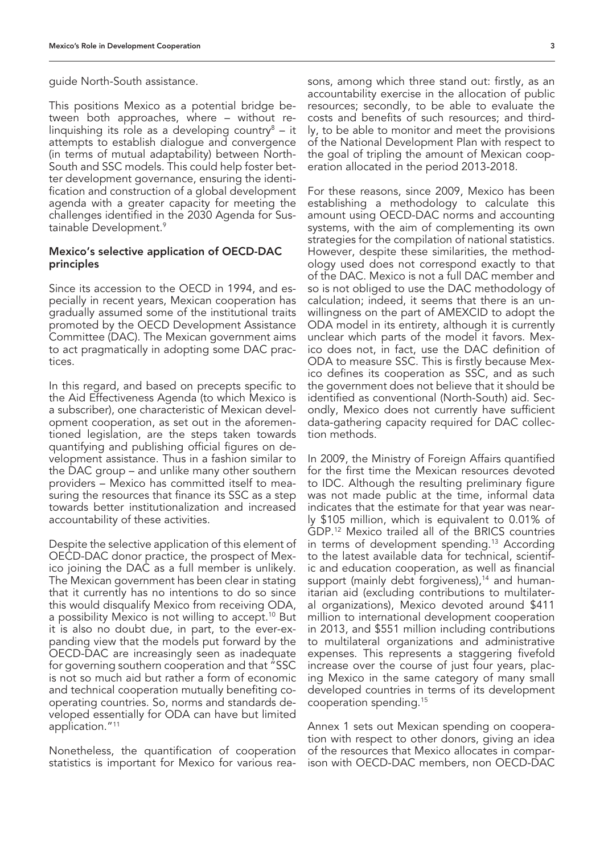guide North-South assistance.

This positions Mexico as a potential bridge between both approaches, where – without relinquishing its role as a developing country $8 - it$ attempts to establish dialogue and convergence (in terms of mutual adaptability) between North-South and SSC models. This could help foster better development governance, ensuring the identification and construction of a global development agenda with a greater capacity for meeting the challenges identified in the 2030 Agenda for Sustainable Development.9

## Mexico's selective application of OECD-DAC principles

Since its accession to the OECD in 1994, and especially in recent years, Mexican cooperation has gradually assumed some of the institutional traits promoted by the OECD Development Assistance Committee (DAC). The Mexican government aims to act pragmatically in adopting some DAC practices.

In this regard, and based on precepts specific to the Aid Effectiveness Agenda (to which Mexico is a subscriber), one characteristic of Mexican development cooperation, as set out in the aforementioned legislation, are the steps taken towards quantifying and publishing official figures on development assistance. Thus in a fashion similar to the DAC group – and unlike many other southern providers – Mexico has committed itself to measuring the resources that finance its SSC as a step towards better institutionalization and increased accountability of these activities.

Despite the selective application of this element of OECD-DAC donor practice, the prospect of Mexico joining the DAC as a full member is unlikely. The Mexican government has been clear in stating that it currently has no intentions to do so since this would disqualify Mexico from receiving ODA, a possibility Mexico is not willing to accept.10 But it is also no doubt due, in part, to the ever-expanding view that the models put forward by the OECD-DAC are increasingly seen as inadequate for governing southern cooperation and that "SSC is not so much aid but rather a form of economic and technical cooperation mutually benefiting cooperating countries. So, norms and standards developed essentially for ODA can have but limited application."11

Nonetheless, the quantification of cooperation statistics is important for Mexico for various rea-

sons, among which three stand out: firstly, as an accountability exercise in the allocation of public resources; secondly, to be able to evaluate the costs and benefits of such resources; and thirdly, to be able to monitor and meet the provisions of the National Development Plan with respect to the goal of tripling the amount of Mexican cooperation allocated in the period 2013-2018.

For these reasons, since 2009, Mexico has been establishing a methodology to calculate this amount using OECD-DAC norms and accounting systems, with the aim of complementing its own strategies for the compilation of national statistics. However, despite these similarities, the methodology used does not correspond exactly to that of the DAC. Mexico is not a full DAC member and so is not obliged to use the DAC methodology of calculation; indeed, it seems that there is an unwillingness on the part of AMEXCID to adopt the ODA model in its entirety, although it is currently unclear which parts of the model it favors. Mexico does not, in fact, use the DAC definition of ODA to measure SSC. This is firstly because Mexico defines its cooperation as SSC, and as such the government does not believe that it should be identified as conventional (North-South) aid. Secondly, Mexico does not currently have sufficient data-gathering capacity required for DAC collection methods.

In 2009, the Ministry of Foreign Affairs quantified for the first time the Mexican resources devoted to IDC. Although the resulting preliminary figure was not made public at the time, informal data indicates that the estimate for that year was nearly \$105 million, which is equivalent to 0.01% of GDP.12 Mexico trailed all of the BRICS countries in terms of development spending.<sup>13</sup> According to the latest available data for technical, scientific and education cooperation, as well as financial support (mainly debt forgiveness),<sup>14</sup> and humanitarian aid (excluding contributions to multilateral organizations), Mexico devoted around \$411 million to international development cooperation in 2013, and \$551 million including contributions to multilateral organizations and administrative expenses. This represents a staggering fivefold increase over the course of just four years, placing Mexico in the same category of many small developed countries in terms of its development cooperation spending.15

Annex 1 sets out Mexican spending on cooperation with respect to other donors, giving an idea of the resources that Mexico allocates in comparison with OECD-DAC members, non OECD-DAC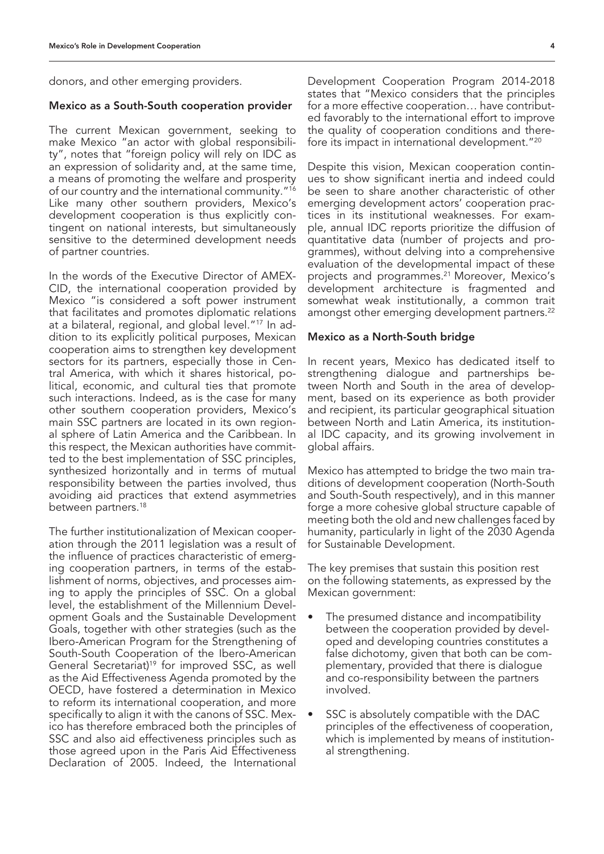donors, and other emerging providers.

#### Mexico as a South-South cooperation provider

The current Mexican government, seeking to make Mexico "an actor with global responsibility", notes that "foreign policy will rely on IDC as an expression of solidarity and, at the same time, a means of promoting the welfare and prosperity of our country and the international community."16 Like many other southern providers, Mexico's development cooperation is thus explicitly contingent on national interests, but simultaneously sensitive to the determined development needs of partner countries.

In the words of the Executive Director of AMEX-CID, the international cooperation provided by Mexico "is considered a soft power instrument that facilitates and promotes diplomatic relations at a bilateral, regional, and global level."17 In addition to its explicitly political purposes, Mexican cooperation aims to strengthen key development sectors for its partners, especially those in Central America, with which it shares historical, political, economic, and cultural ties that promote such interactions. Indeed, as is the case for many other southern cooperation providers, Mexico's main SSC partners are located in its own regional sphere of Latin America and the Caribbean. In this respect, the Mexican authorities have committed to the best implementation of SSC principles, synthesized horizontally and in terms of mutual responsibility between the parties involved, thus avoiding aid practices that extend asymmetries between partners.<sup>18</sup>

The further institutionalization of Mexican cooperation through the 2011 legislation was a result of the influence of practices characteristic of emerging cooperation partners, in terms of the establishment of norms, objectives, and processes aiming to apply the principles of SSC. On a global level, the establishment of the Millennium Development Goals and the Sustainable Development Goals, together with other strategies (such as the Ibero-American Program for the Strengthening of South-South Cooperation of the Ibero-American General Secretariat)<sup>19</sup> for improved SSC, as well as the Aid Effectiveness Agenda promoted by the OECD, have fostered a determination in Mexico to reform its international cooperation, and more specifically to align it with the canons of SSC. Mexico has therefore embraced both the principles of SSC and also aid effectiveness principles such as those agreed upon in the Paris Aid Effectiveness Declaration of 2005. Indeed, the International

Development Cooperation Program 2014-2018 states that "Mexico considers that the principles for a more effective cooperation… have contributed favorably to the international effort to improve the quality of cooperation conditions and therefore its impact in international development."20

Despite this vision, Mexican cooperation continues to show significant inertia and indeed could be seen to share another characteristic of other emerging development actors' cooperation practices in its institutional weaknesses. For example, annual IDC reports prioritize the diffusion of quantitative data (number of projects and programmes), without delving into a comprehensive evaluation of the developmental impact of these projects and programmes.21 Moreover, Mexico's development architecture is fragmented and somewhat weak institutionally, a common trait amongst other emerging development partners.<sup>22</sup>

#### Mexico as a North-South bridge

In recent years, Mexico has dedicated itself to strengthening dialogue and partnerships between North and South in the area of development, based on its experience as both provider and recipient, its particular geographical situation between North and Latin America, its institutional IDC capacity, and its growing involvement in global affairs.

Mexico has attempted to bridge the two main traditions of development cooperation (North-South and South-South respectively), and in this manner forge a more cohesive global structure capable of meeting both the old and new challenges faced by humanity, particularly in light of the 2030 Agenda for Sustainable Development.

The key premises that sustain this position rest on the following statements, as expressed by the Mexican government:

- The presumed distance and incompatibility between the cooperation provided by developed and developing countries constitutes a false dichotomy, given that both can be complementary, provided that there is dialogue and co-responsibility between the partners involved.
- SSC is absolutely compatible with the DAC principles of the effectiveness of cooperation, which is implemented by means of institutional strengthening.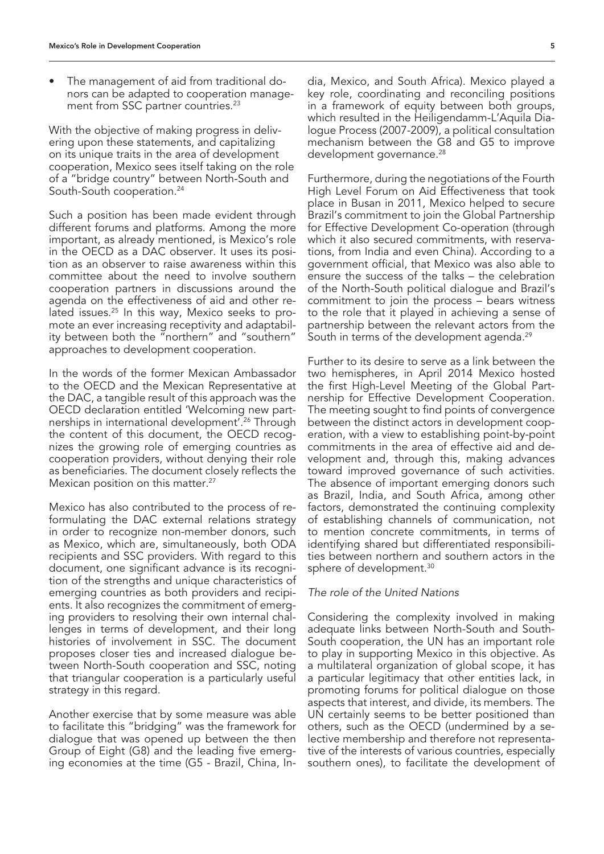• The management of aid from traditional donors can be adapted to cooperation management from SSC partner countries.<sup>23</sup>

With the objective of making progress in delivering upon these statements, and capitalizing on its unique traits in the area of development cooperation, Mexico sees itself taking on the role of a "bridge country" between North-South and South-South cooperation.24

Such a position has been made evident through different forums and platforms. Among the more important, as already mentioned, is Mexico's role in the OECD as a DAC observer. It uses its position as an observer to raise awareness within this committee about the need to involve southern cooperation partners in discussions around the agenda on the effectiveness of aid and other related issues.<sup>25</sup> In this way, Mexico seeks to promote an ever increasing receptivity and adaptability between both the "northern" and "southern" approaches to development cooperation.

In the words of the former Mexican Ambassador to the OECD and the Mexican Representative at the DAC, a tangible result of this approach was the OECD declaration entitled 'Welcoming new partnerships in international development'.26 Through the content of this document, the OECD recognizes the growing role of emerging countries as cooperation providers, without denying their role as beneficiaries. The document closely reflects the Mexican position on this matter.<sup>27</sup>

Mexico has also contributed to the process of reformulating the DAC external relations strategy in order to recognize non-member donors, such as Mexico, which are, simultaneously, both ODA recipients and SSC providers. With regard to this document, one significant advance is its recognition of the strengths and unique characteristics of emerging countries as both providers and recipients. It also recognizes the commitment of emerging providers to resolving their own internal challenges in terms of development, and their long histories of involvement in SSC. The document proposes closer ties and increased dialogue between North-South cooperation and SSC, noting that triangular cooperation is a particularly useful strategy in this regard.

Another exercise that by some measure was able to facilitate this "bridging" was the framework for dialogue that was opened up between the then Group of Eight (G8) and the leading five emerging economies at the time (G5 - Brazil, China, In-

dia, Mexico, and South Africa). Mexico played a key role, coordinating and reconciling positions in a framework of equity between both groups, which resulted in the Heiligendamm-L'Aquila Dialogue Process (2007-2009), a political consultation mechanism between the G8 and G5 to improve development governance.<sup>28</sup>

Furthermore, during the negotiations of the Fourth High Level Forum on Aid Effectiveness that took place in Busan in 2011, Mexico helped to secure Brazil's commitment to join the Global Partnership for Effective Development Co-operation (through which it also secured commitments, with reservations, from India and even China). According to a government official, that Mexico was also able to ensure the success of the talks – the celebration of the North-South political dialogue and Brazil's commitment to join the process – bears witness to the role that it played in achieving a sense of partnership between the relevant actors from the South in terms of the development agenda.<sup>29</sup>

Further to its desire to serve as a link between the two hemispheres, in April 2014 Mexico hosted the first High-Level Meeting of the Global Partnership for Effective Development Cooperation. The meeting sought to find points of convergence between the distinct actors in development cooperation, with a view to establishing point-by-point commitments in the area of effective aid and development and, through this, making advances toward improved governance of such activities. The absence of important emerging donors such as Brazil, India, and South Africa, among other factors, demonstrated the continuing complexity of establishing channels of communication, not to mention concrete commitments, in terms of identifying shared but differentiated responsibilities between northern and southern actors in the sphere of development.<sup>30</sup>

## *The role of the United Nations*

Considering the complexity involved in making adequate links between North-South and South-South cooperation, the UN has an important role to play in supporting Mexico in this objective. As a multilateral organization of global scope, it has a particular legitimacy that other entities lack, in promoting forums for political dialogue on those aspects that interest, and divide, its members. The UN certainly seems to be better positioned than others, such as the OECD (undermined by a selective membership and therefore not representative of the interests of various countries, especially southern ones), to facilitate the development of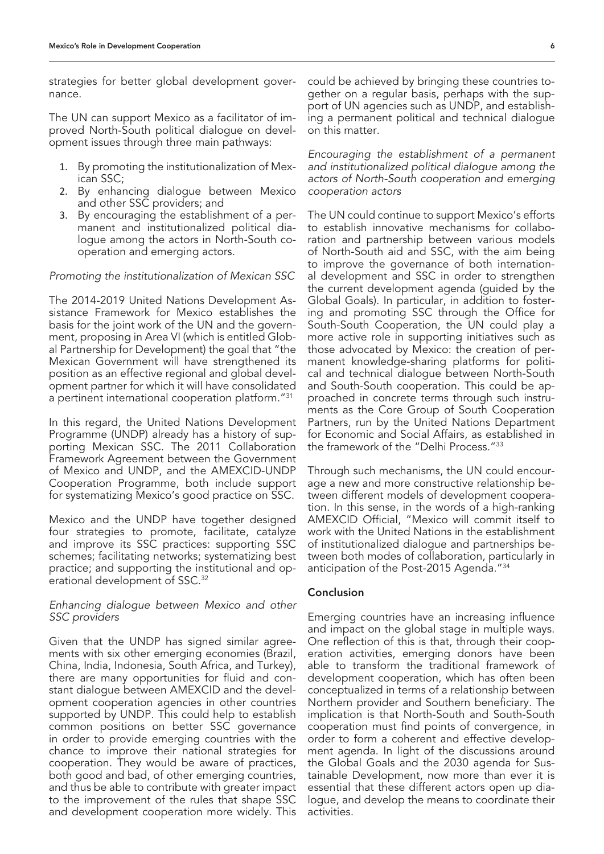strategies for better global development governance.

The UN can support Mexico as a facilitator of improved North-South political dialogue on development issues through three main pathways:

- 1. By promoting the institutionalization of Mexican SSC;
- 2. By enhancing dialogue between Mexico and other SSC providers; and
- 3. By encouraging the establishment of a permanent and institutionalized political dialogue among the actors in North-South cooperation and emerging actors.

#### *Promoting the institutionalization of Mexican SSC*

The 2014-2019 United Nations Development Assistance Framework for Mexico establishes the basis for the joint work of the UN and the government, proposing in Area VI (which is entitled Global Partnership for Development) the goal that "the Mexican Government will have strengthened its position as an effective regional and global development partner for which it will have consolidated a pertinent international cooperation platform."31

In this regard, the United Nations Development Programme (UNDP) already has a history of supporting Mexican SSC. The 2011 Collaboration Framework Agreement between the Government of Mexico and UNDP, and the AMEXCID-UNDP Cooperation Programme, both include support for systematizing Mexico's good practice on SSC.

Mexico and the UNDP have together designed four strategies to promote, facilitate, catalyze and improve its SSC practices: supporting SSC schemes; facilitating networks; systematizing best practice; and supporting the institutional and operational development of SSC.32

## *Enhancing dialogue between Mexico and other SSC providers*

Given that the UNDP has signed similar agreements with six other emerging economies (Brazil, China, India, Indonesia, South Africa, and Turkey), there are many opportunities for fluid and constant dialogue between AMEXCID and the development cooperation agencies in other countries supported by UNDP. This could help to establish common positions on better SSC governance in order to provide emerging countries with the chance to improve their national strategies for cooperation. They would be aware of practices, both good and bad, of other emerging countries, and thus be able to contribute with greater impact to the improvement of the rules that shape SSC and development cooperation more widely. This could be achieved by bringing these countries together on a regular basis, perhaps with the support of UN agencies such as UNDP, and establishing a permanent political and technical dialogue on this matter.

*Encouraging the establishment of a permanent and institutionalized political dialogue among the actors of North-South cooperation and emerging cooperation actors*

The UN could continue to support Mexico's efforts to establish innovative mechanisms for collaboration and partnership between various models of North-South aid and SSC, with the aim being to improve the governance of both international development and SSC in order to strengthen the current development agenda (guided by the Global Goals). In particular, in addition to fostering and promoting SSC through the Office for South-South Cooperation, the UN could play a more active role in supporting initiatives such as those advocated by Mexico: the creation of permanent knowledge-sharing platforms for political and technical dialogue between North-South and South-South cooperation. This could be approached in concrete terms through such instruments as the Core Group of South Cooperation Partners, run by the United Nations Department for Economic and Social Affairs, as established in the framework of the "Delhi Process."33

Through such mechanisms, the UN could encourage a new and more constructive relationship between different models of development cooperation. In this sense, in the words of a high-ranking AMEXCID Official, "Mexico will commit itself to work with the United Nations in the establishment of institutionalized dialogue and partnerships between both modes of collaboration, particularly in anticipation of the Post-2015 Agenda."34

### Conclusion

Emerging countries have an increasing influence and impact on the global stage in multiple ways. One reflection of this is that, through their cooperation activities, emerging donors have been able to transform the traditional framework of development cooperation, which has often been conceptualized in terms of a relationship between Northern provider and Southern beneficiary. The implication is that North-South and South-South cooperation must find points of convergence, in order to form a coherent and effective development agenda. In light of the discussions around the Global Goals and the 2030 agenda for Sustainable Development, now more than ever it is essential that these different actors open up dialogue, and develop the means to coordinate their activities.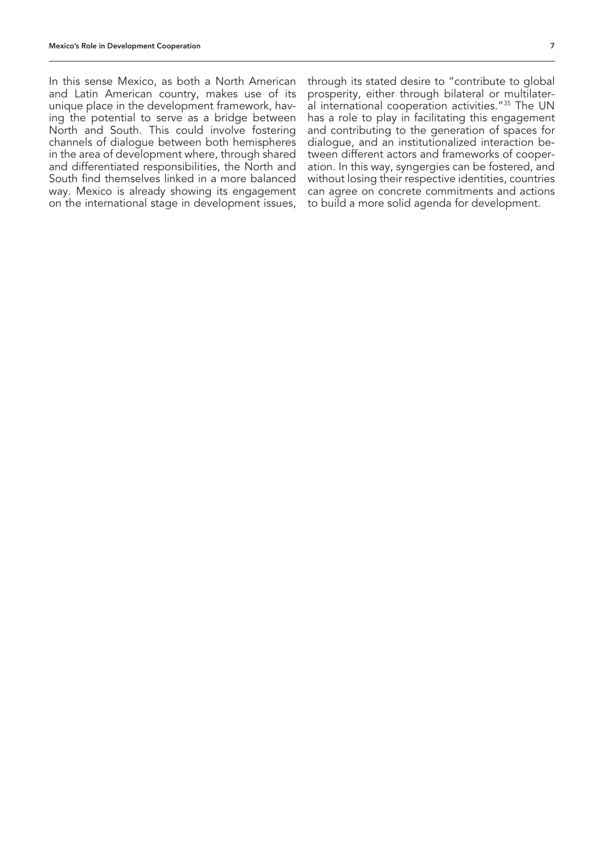In this sense Mexico, as both a North American and Latin American country, makes use of its unique place in the development framework, having the potential to serve as a bridge between North and South. This could involve fostering channels of dialogue between both hemispheres in the area of development where, through shared and differentiated responsibilities, the North and South find themselves linked in a more balanced way. Mexico is already showing its engagement on the international stage in development issues,

through its stated desire to "contribute to global prosperity, either through bilateral or multilateral international cooperation activities."35 The UN has a role to play in facilitating this engagement and contributing to the generation of spaces for dialogue, and an institutionalized interaction between different actors and frameworks of cooperation. In this way, syngergies can be fostered, and without losing their respective identities, countries can agree on concrete commitments and actions to build a more solid agenda for development.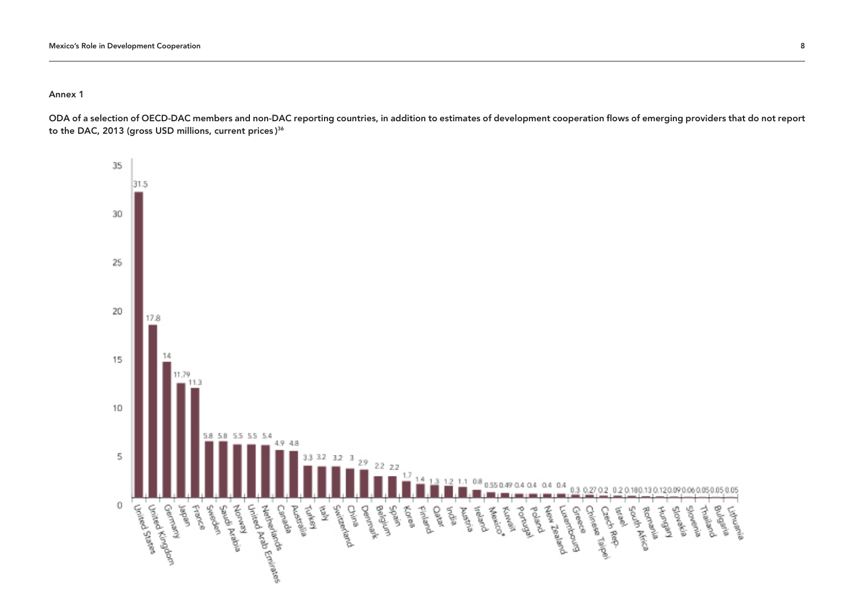Annex 1

ODA of a selection of OECD-DAC members and non-DAC reporting countries, in addition to estimates of development cooperation flows of emerging providers that do not report to the DAC, 2013 (gross USD millions, current prices ) 36

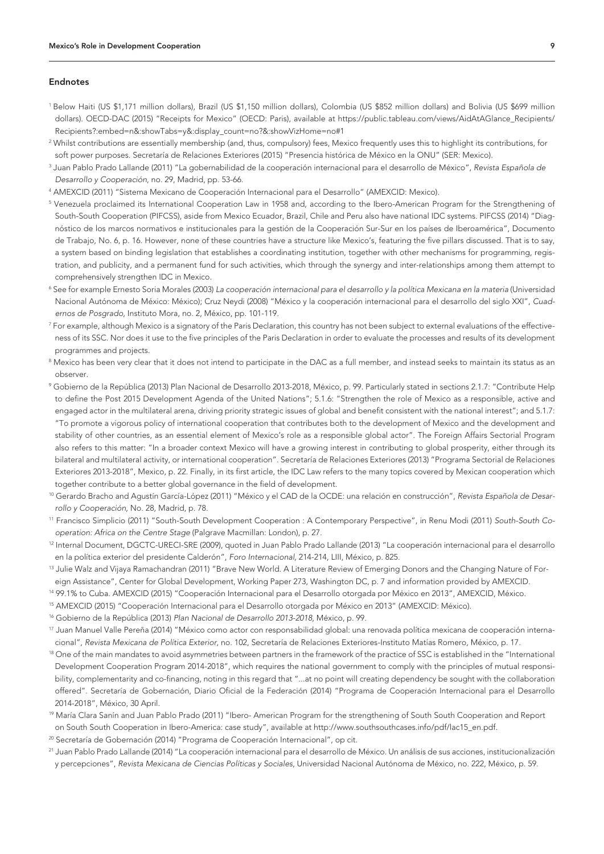#### Endnotes

- 1 Below Haiti (US \$1,171 million dollars), Brazil (US \$1,150 million dollars), Colombia (US \$852 million dollars) and Bolivia (US \$699 million dollars). OECD-DAC (2015) "Receipts for Mexico" (OECD: Paris), available at https://public.tableau.com/views/AidAtAGlance\_Recipients/ Recipients?:embed=n&:showTabs=y&:display\_count=no?&:showVizHome=no#1
- 2 Whilst contributions are essentially membership (and, thus, compulsory) fees, Mexico frequently uses this to highlight its contributions, for soft power purposes. Secretaría de Relaciones Exteriores (2015) "Presencia histórica de México en la ONU" (SER: Mexico).
- 3 Juan Pablo Prado Lallande (2011) "La gobernabilidad de la cooperación internacional para el desarrollo de México", *Revista Española de Desarrollo y Cooperación*, no. 29, Madrid, pp. 53-66.
- 4 AMEXCID (2011) "Sistema Mexicano de Cooperación Internacional para el Desarrollo" (AMEXCID: Mexico).
- $^5$  Venezuela proclaimed its International Cooperation Law in 1958 and, according to the Ibero-American Program for the Strengthening of South-South Cooperation (PIFCSS), aside from Mexico Ecuador, Brazil, Chile and Peru also have national IDC systems. PIFCSS (2014) "Diagnóstico de los marcos normativos e institucionales para la gestión de la Cooperación Sur-Sur en los países de Iberoamérica", Documento de Trabajo, No. 6, p. 16. However, none of these countries have a structure like Mexico's, featuring the five pillars discussed. That is to say, a system based on binding legislation that establishes a coordinating institution, together with other mechanisms for programming, registration, and publicity, and a permanent fund for such activities, which through the synergy and inter-relationships among them attempt to comprehensively strengthen IDC in Mexico.
- <sup>6</sup> See for example Ernesto Soria Morales (2003) *La cooperación internacional para el desarrollo y la política Mexicana en la materia (Universidad* Nacional Autónoma de México: México); Cruz Neydi (2008) "México y la cooperación internacional para el desarrollo del siglo XXI", *Cuadernos de Posgrado*, Instituto Mora, no. 2, México, pp. 101-119.
- 7 For example, although Mexico is a signatory of the Paris Declaration, this country has not been subject to external evaluations of the effectiveness of its SSC. Nor does it use to the five principles of the Paris Declaration in order to evaluate the processes and results of its development programmes and projects.
- $^{\rm 8}$  Mexico has been very clear that it does not intend to participate in the DAC as a full member, and instead seeks to maintain its status as an observer.
- 9 Gobierno de la República (2013) Plan Nacional de Desarrollo 2013-2018, México, p. 99. Particularly stated in sections 2.1.7: "Contribute Help to define the Post 2015 Development Agenda of the United Nations"; 5.1.6: "Strengthen the role of Mexico as a responsible, active and engaged actor in the multilateral arena, driving priority strategic issues of global and benefit consistent with the national interest"; and 5.1.7: "To promote a vigorous policy of international cooperation that contributes both to the development of Mexico and the development and stability of other countries, as an essential element of Mexico's role as a responsible global actor". The Foreign Affairs Sectorial Program also refers to this matter: "In a broader context Mexico will have a growing interest in contributing to global prosperity, either through its bilateral and multilateral activity, or international cooperation". Secretaría de Relaciones Exteriores (2013) "Programa Sectorial de Relaciones Exteriores 2013-2018", Mexico, p. 22. Finally, in its first article, the IDC Law refers to the many topics covered by Mexican cooperation which together contribute to a better global governance in the field of development.
- 10 Gerardo Bracho and Agustín García-López (2011) "México y el CAD de la OCDE: una relación en construcción", *Revista Española de Desarrollo y Cooperación*, No. 28, Madrid, p. 78.
- 11 Francisco Simplicio (2011) "South-South Development Cooperation : A Contemporary Perspective", in Renu Modi (2011) *South-South Cooperation: Africa on the Centre Stage* (Palgrave Macmillan: London), p. 27.
- 12 Internal Document, DGCTC-URECI-SRE (2009), quoted in Juan Pablo Prado Lallande (2013) "La cooperación internacional para el desarrollo en la política exterior del presidente Calderón", *Foro Internacional,* 214-214, LIII, México, p. 825.
- <sup>13</sup> Julie Walz and Vijaya Ramachandran (2011) "Brave New World. A Literature Review of Emerging Donors and the Changing Nature of Foreign Assistance", Center for Global Development, Working Paper 273, Washington DC, p. 7 and information provided by AMEXCID.
- 14 99.1% to Cuba. AMEXCID (2015) "Cooperación Internacional para el Desarrollo otorgada por México en 2013", AMEXCID, México.
- <sup>15</sup> AMEXCID (2015) "Cooperación Internacional para el Desarrollo otorgada por México en 2013" (AMEXCID: México).
- 16 Gobierno de la República (2013) *Plan Nacional de Desarrollo 2013-2018*, México, p. 99.
- 17 Juan Manuel Valle Pereña (2014) "México como actor con responsabilidad global: una renovada política mexicana de cooperación internacional", *Revista Mexicana de Política Exterior*, no. 102, Secretaría de Relaciones Exteriores-Instituto Matías Romero, México, p. 17.
- <sup>18</sup> One of the main mandates to avoid asymmetries between partners in the framework of the practice of SSC is established in the "International Development Cooperation Program 2014-2018", which requires the national government to comply with the principles of mutual responsibility, complementarity and co-financing, noting in this regard that "...at no point will creating dependency be sought with the collaboration offered". Secretaría de Gobernación, Diario Oficial de la Federación (2014) "Programa de Cooperación Internacional para el Desarrollo 2014-2018", México, 30 April.
- 19 María Clara Sanín and Juan Pablo Prado (2011) "Ibero- American Program for the strengthening of South South Cooperation and Report on South South Cooperation in Ibero-America: case study", available at http://www.southsouthcases.info/pdf/lac15\_en.pdf.
- 20 Secretaría de Gobernación (2014) "Programa de Cooperación Internacional", op cit.
- <sup>21</sup> Juan Pablo Prado Lallande (2014) "La cooperación internacional para el desarrollo de México. Un análisis de sus acciones, institucionalización y percepciones", *Revista Mexicana de Ciencias Políticas y Sociales*, Universidad Nacional Autónoma de México, no. 222, México, p. 59.